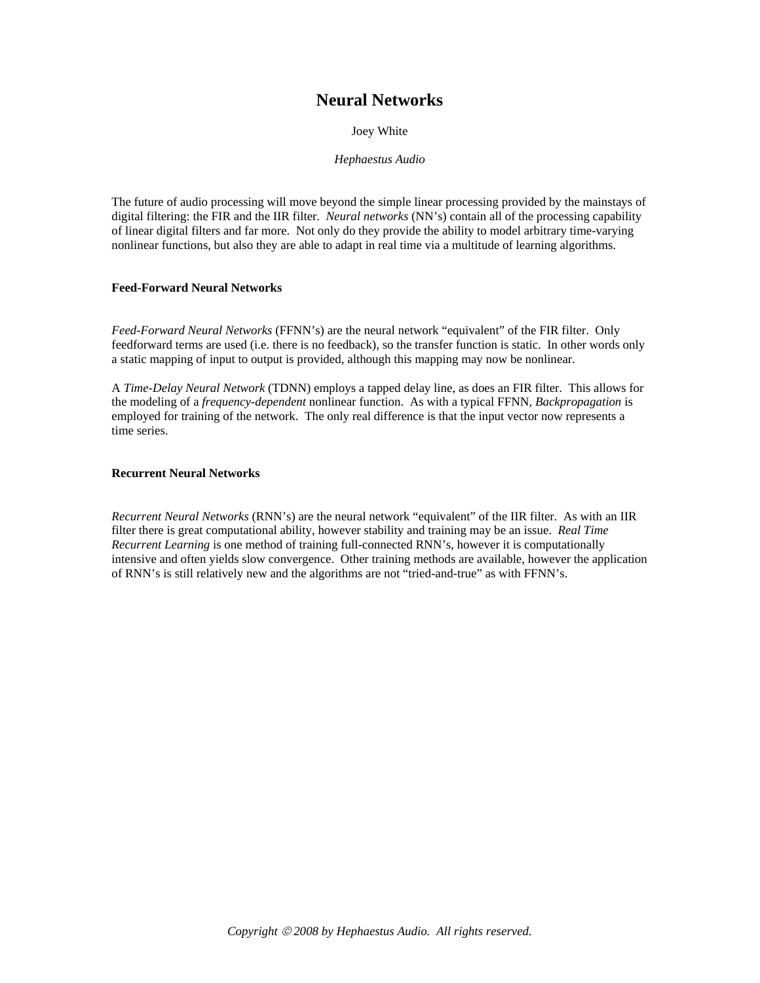# **Neural Networks**

Joey White

*Hephaestus Audio* 

The future of audio processing will move beyond the simple linear processing provided by the mainstays of digital filtering: the FIR and the IIR filter. *Neural networks* (NN's) contain all of the processing capability of linear digital filters and far more. Not only do they provide the ability to model arbitrary time-varying nonlinear functions, but also they are able to adapt in real time via a multitude of learning algorithms.

# **Feed-Forward Neural Networks**

*Feed-Forward Neural Networks* (FFNN's) are the neural network "equivalent" of the FIR filter. Only feedforward terms are used (i.e. there is no feedback), so the transfer function is static. In other words only a static mapping of input to output is provided, although this mapping may now be nonlinear.

A *Time-Delay Neural Network* (TDNN) employs a tapped delay line, as does an FIR filter. This allows for the modeling of a *frequency-dependent* nonlinear function. As with a typical FFNN, *Backpropagation* is employed for training of the network. The only real difference is that the input vector now represents a time series.

#### **Recurrent Neural Networks**

*Recurrent Neural Networks* (RNN's) are the neural network "equivalent" of the IIR filter. As with an IIR filter there is great computational ability, however stability and training may be an issue. *Real Time Recurrent Learning* is one method of training full-connected RNN's, however it is computationally intensive and often yields slow convergence. Other training methods are available, however the application of RNN's is still relatively new and the algorithms are not "tried-and-true" as with FFNN's.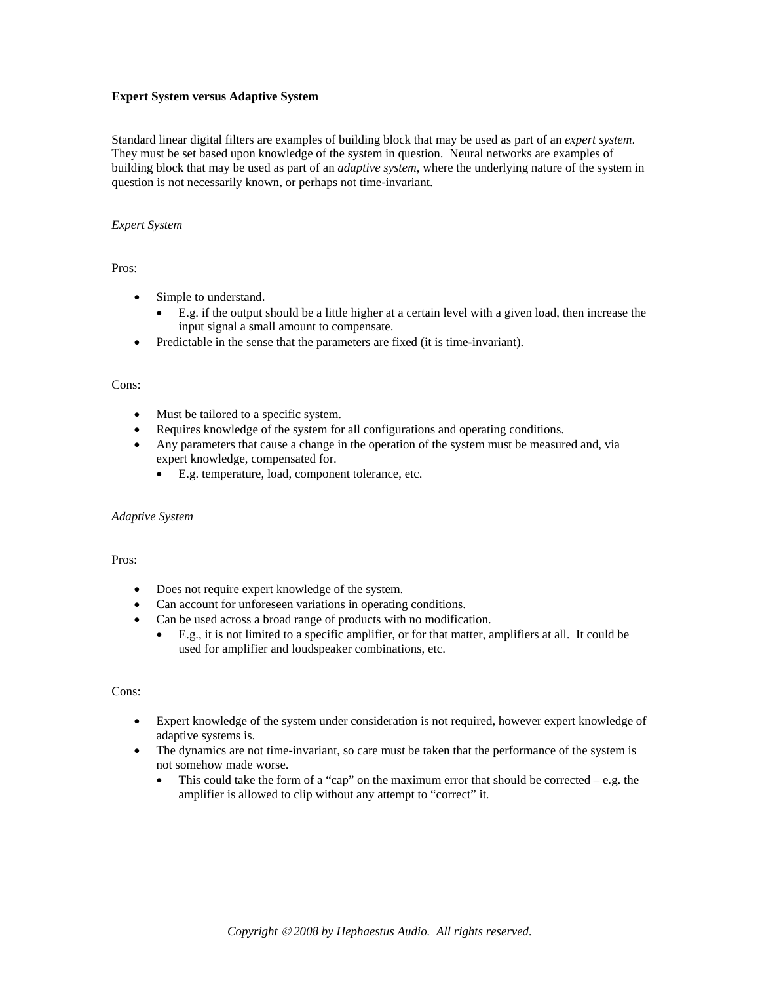# **Expert System versus Adaptive System**

Standard linear digital filters are examples of building block that may be used as part of an *expert system*. They must be set based upon knowledge of the system in question. Neural networks are examples of building block that may be used as part of an *adaptive system*, where the underlying nature of the system in question is not necessarily known, or perhaps not time-invariant.

# *Expert System*

Pros:

- Simple to understand.
	- E.g. if the output should be a little higher at a certain level with a given load, then increase the input signal a small amount to compensate.
- Predictable in the sense that the parameters are fixed (it is time-invariant).

#### Cons:

- Must be tailored to a specific system.
- Requires knowledge of the system for all configurations and operating conditions.
- Any parameters that cause a change in the operation of the system must be measured and, via expert knowledge, compensated for.
	- E.g. temperature, load, component tolerance, etc.

#### *Adaptive System*

# Pros:

- Does not require expert knowledge of the system.
- Can account for unforeseen variations in operating conditions.
- Can be used across a broad range of products with no modification.
	- E.g., it is not limited to a specific amplifier, or for that matter, amplifiers at all. It could be used for amplifier and loudspeaker combinations, etc.

#### Cons:

- Expert knowledge of the system under consideration is not required, however expert knowledge of adaptive systems is.
- The dynamics are not time-invariant, so care must be taken that the performance of the system is not somehow made worse.
	- This could take the form of a "cap" on the maximum error that should be corrected  $-e.g.$  the amplifier is allowed to clip without any attempt to "correct" it.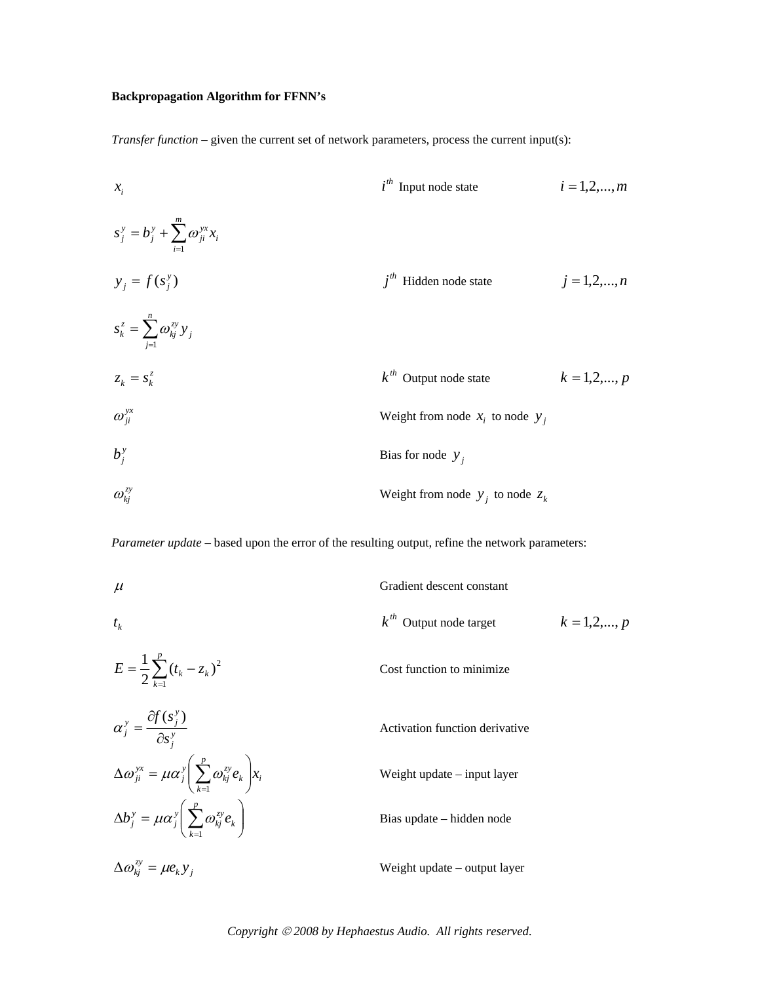# **Backpropagation Algorithm for FFNN's**

*Transfer function* – given the current set of network parameters, process the current input(s):

| $x_i$                                               | $i^{th}$ Input node state            | $i = 1, 2, ..., m$ |
|-----------------------------------------------------|--------------------------------------|--------------------|
| $s_j^y = b_j^y + \sum_{i=1}^m \omega_{ji}^{yx} x_i$ | $j^{th}$ Hidden node state           | $j = 1, 2, ..., n$ |
| $s_k^z = \sum_{j=1}^n \omega_{kj}^{zy} y_j$         | $j^{th}$ Hidden node state           | $j = 1, 2, ..., n$ |
| $\omega_{ji}^{yx}$                                  | $k^{th}$ Output node state           | $k = 1, 2, ..., p$ |
| $\omega_{ji}^{yx}$                                  | Weight from node $x_i$ to node $y_j$ |                    |
| $b_j^y$                                             | Bias for node $y_j$                  |                    |
| $\omega_{kj}^{zy}$                                  | Weight from node $y_j$ to node $z_k$ |                    |

*Parameter update* – based upon the error of the resulting output, refine the network parameters:

| $\mu$                                          | Gradient descent constant   |                 |
|------------------------------------------------|-----------------------------|-----------------|
| $t_{k}$                                        | $k^{th}$ Output node target | $k = 1, 2, , p$ |
| $E = \frac{1}{2} \sum_{k=1}^{p} (t_k - z_k)^2$ | Cost function to minimize.  |                 |

$$
\alpha_j^y = \frac{\partial f(s_j^y)}{\partial s_j^y}
$$
  
\nActivity  $\Delta \omega_{ji}^{yx} = \mu \alpha_j^y \left( \sum_{k=1}^p \omega_{kj}^{xy} e_k \right) x_i$   
\n
$$
\Delta b_j^y = \mu \alpha_j^y \left( \sum_{k=1}^p \omega_{kj}^{xy} e_k \right)
$$
  
\n
$$
\Delta b_j^y = \mu \alpha_j^y \left( \sum_{k=1}^p \omega_{kj}^{xy} e_k \right)
$$
  
\n
$$
\Delta b_j^y = \mu \alpha_j^y \left( \sum_{k=1}^p \omega_{kj}^{xy} e_k \right)
$$
  
\n
$$
\Delta b_j^y = \mu \alpha_j^y \left( \sum_{k=1}^p \omega_{kj}^{xy} e_k \right)
$$
  
\n
$$
\Delta b_j^y = \mu \alpha_j^y \left( \sum_{k=1}^p \omega_{kj}^{xy} e_k \right)
$$

*k j zy Weight update – output layer* 

*Copyright* © *2008 by Hephaestus Audio. All rights reserved.*